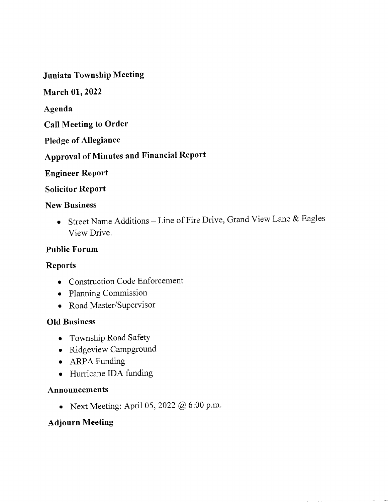Juniata Township Meeting

March 01, 2022

Agenda

Call Meeting to Order

Pledge of Allegiance

# Approval of Minutes and Financial Report

**Engineer Report** 

# **Solicitor Report**

# New Business

o Street Name Additions - Line of Fire Drive, Grand View Lane & Eagles View Drive.

# Public Forum

# Reports

- o Construction Code Enforcement
- . Planning Commission
- . Road Master/Supervisor

# OId Business

- o Township Road Safety
- . Ridgeview Campground
- o ARPA Funding
- Hurricane IDA funding

# Announcements

o Next Meeting: April 05, 2022 @ 6:00 p.m.

# Adjourn Meeting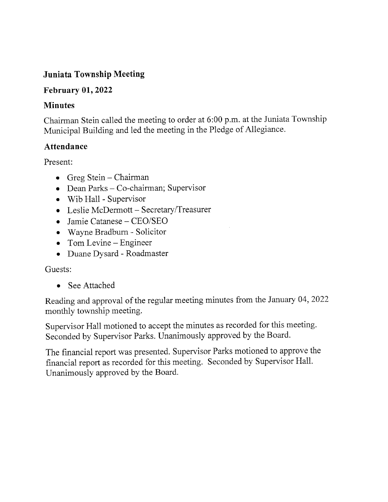# Juniata Township Meeting

# February  $01,2022$

# Minutes

Chairman Stein called the meeting to order at 6:00 p.m. at the Juniata Township Municipal Building and led the meeting in the Pledge of Allegiance.

# Attendance

Present:

- $\bullet$  Greg Stein Chairman
- Dean Parks Co-chairman; Supervisor
- $\bullet$  Wib Hall Supervisor
- Leslie McDermott Secretary/Treasurer
- o Jamie Catanese CEO/SEO
- . Wayne Bradburn Solicitor
- $\bullet$  Tom Levine Engineer
- o Duane Dysard Roadmaster

# Guests:

• See Attached

Reading and approval of the regular meeting minutes from the January 04,2022 monthly township meeting.

Supervisor Hall motioned to accept the minutes as recorded for this meeting. Seconded by Supervisor Parks. Unanimously approved by the Board.

The financial report was presented. Supervisor Parks motioned to approve the financial report as recorded for this meeting. Seconded by Supervisor Hall. Unanimously approved by the Board.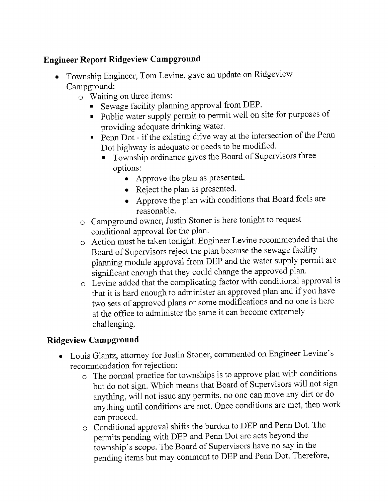# Engineer Report Ridgeview Campground

- Township Engineer, Tom Levine, gave an update on Ridgeview Campground:
	- o Waiting on three items:
		- Sewage facility planning approval from DEP.
		- . public water supply permit to permit well on site for purposes of providing adequate drinking water.
		- Penn Dot if the existing drive way at the intersection of the Penn<br>Dot highway is adequate or needs to be modified.
			- Dot ingliway is adequate of fields to be medified.<br>Township ordinance gives the Board of Supervisors three options:
				- Approve the plan as presented.
				- Reject the plan as presented.
				- . Approve the plan with conditions that Board feels are reasonable.
	- o Campground owner, Justin Stoner is here tonight to request conditional approval for the plan'
	- $\circ$  Action must be taken tonight. Engineer Levine recommended that the Board of Supervisors reject the plan because the sewage facility planning module approval from DEP and the water supply permit are significant enough that they could change the approved plan.
	- o Levine added that the complicating factor with conditional approval is that it is hard enough to administer an approved plan and if you have two sets of approved plans or some modifications and no one is here at the office to administer the same it can become extremely challenging.

# Ridgeview Campground

- $\bullet$  Louis Glantz, attorney for Justin Stoner, commented on Engineer Levine's recommendation for rejection:
	- o The normal practice for townships is to approve plan with conditions but do not sign. Which means that Board of Supervisors will not sign anything, will not issue any permits, no one can move any dirt or do anything until conditions are met. Once conditions are met, then work can proceed.
	- $\circ$  Conditional approval shifts the burden to DEP and Penn Dot. The permits pending with DEP and Penn Dot are acts beyond the township's scope. The Board of Supervisors have no say in the pending items but may comment to DEP and Penn Dot. Therefore,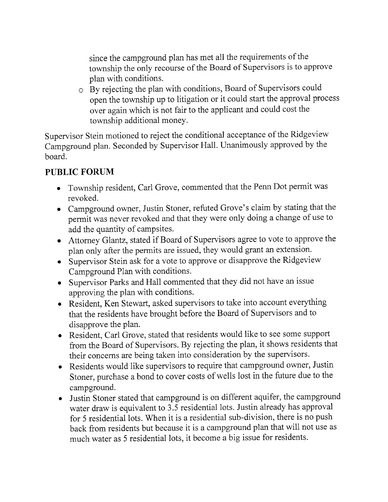since the campground plan has met ail the requirements of the township the only recourse of the Board of Supervisors is to approve plan with conditions.

o By rejecting the plan with conditions, Board of Supervisors could open the township up to litigation or it could start the approval process over again which is not fair to the applicant and could cost the township additional money.

Supervisor Stein motioned to reject the conditional acceptance of the Ridgeview Campground plan. Seconded by Supervisor HalI. Unanimously approved by the board.

# PUBLIC FORUM

- Township resident, Carl Grove, commented that the Penn Dot permit was revoked.
- o Campground owner, Justin Stoner, refuted Grove's claim by stating that the permit was never revoked and that they were only doing a change of use to add the quantity of campsites.
- o Attorney Glantz, stated if Board of Supervisors agree to vote to approve the plan only after the permits are issued, they would grant an extension.
- o Supervisor Stein ask for a vote to approve or disapprove the Ridgeview Campground Plan with conditions.
- o Supervisor Parks and Hall commented that they did not have an issue approving the plan with conditions.
- . Resident, Ken Stewart, asked supervisors to take into account everything that the residents have brought before the Board of Supervisors and to disapprove the plan.
- o Resident, Carl Grove, stated that residents would like to see some support from the Board of Supervisors. By rejecting the plan, it shows residents that their concerns are being taken into consideration by the supervisors.
- o Residents would like supervisors to require that campground owner, Justin Stoner, purchase a bond to cover costs of wells lost in the future due to the campground.
- o Justin Stoner stated that campground is on different aquifer, the campground water draw is equivalent to 3.5 residential lots. Justin already has approval for 5 residential lots. When it is a residential sub-division, there is no push back from residents but because it is a campground plan that will not use as much water as 5 residential lots, it become a big issue for residents.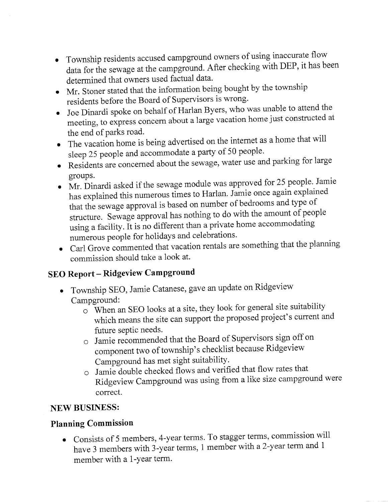- Township residents accused campground owners of using inaccurate flow data for the sewage at the campground. After checking with DEP, it has been determined that owners used factual data.
- o Mr. Stoner stated that the information being bought by the township residents before the Board of Supervisors is wrong.
- Joe Dinardi spoke on behalf of Harlan Byers, who was unable to attend the meeting, to express concem about a large vacation home just constructed at the end of parks road.
- The vacation home is being advertised on the internet as a home that will sleep 25 people and accommodate a party of 50 people.
- Residents are concerned about the sewage, water use and parking for large groups.
- Mr. Dinardi asked if the sewage module was approved for 25 people. Jamie has explained this numerous times to Harlan. Jamie once again explained that the sewage approval is based on number of bedrooms and type of structure. Sewage approval has nothing to do with the amount of people using a facility. It is no different than a private home accommodating<br>numerous people for holidays and celebrations. numerous people for holidays and celebrations.
- . Carl Grove commented that vacation rentals are something that the planning commission should take a look at.

# SEO Report - Ridgeview Campground

- . Township SEO, Jamie catanese, gave an update on Ridgeview Campground:
	- o when an sEo looks at a site, they look for general site suitability which means the site can support the proposed project's current and future septic needs.
	- $\circ$  Jamie recommended that the Board of Supervisors sign off on component two of township's checklist because Ridgeview Campground has met sight suitability.
	- $\circ$  Jamie double checked flows and verified that flow rates that Ridgeview Campground was using from a like size campground were correct.

# NEW BUSINESS:

# Planning Commission

. Consists of 5 members, 4-year terms. To stagger terms, commission wili have 3 members with 3-year terms, 1 member with a 2-yeat term and <sup>1</sup> member with a 1-year term.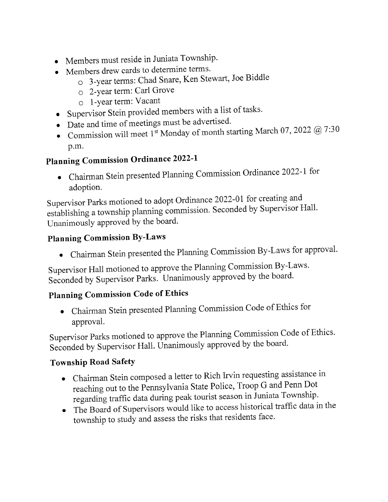- . Members must reside in Juniata Township'
- . Members drew cards to determine terms'
	- o 3-year terms: Chad Snare, Ken Stewart, Joe Biddle
		- o 2-Year term: Carl Grove
		- o l-Year term: Vacant
- o Supervisor stein provided members with a list of tasks'
- $\bullet$  Date and time of meetings must be advertised.
- Commission will meet 1st Monday of month starting March 07, 2022  $@$  7:30 p.m.

# Planning Commission Ordinance 2022-l

. Chairman Stein presented Planning Commission Ordinance 2022-1 for adoption.

Supervisor Parks motioned to adopt Ordinance 2022-01 for creating and establishing a township planning commission. Seconded by Supervisor Hall. Unanimously approved by the board.

# Planning Commission BY-Laws

o Chairman Stein presented the Planning Commission By-Laws for approval'

Supervisor Hall motioned to approve the Planning Commission By-Laws. Seconded by Supervisor Parks. Unanimously approved by the board.

# Planning Commission Code of Ethics

. Chairman Stein presented Planning Commission Code of Ethics for approval.

Supervisor Parks motioned to approve the Planning Commission Code of Ethics. Seconded by Supervisor Hall. Unanimously approved by the board.

# Township Road Safety

- . Chairman Stein composed a letter to Rich Irvin requesting assistance in reaching out to the Pennsylvania State Police, Troop G and Penn Dot regarding traffic data during peak tourist season in Juniata Township'
- . The Board of Supervisors would like to access historical traffic data in the township to study and assess the risks that residents face.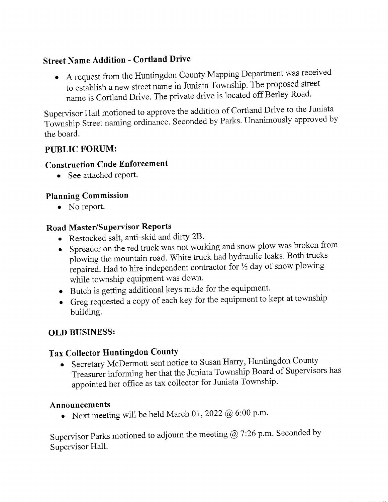# Street Name Addition - Cortland Drive

o A request from the Huntingdon County Mapping Department was received to establish a new street name in Juniata Township. The proposed Street name is Cortland Drive. The private drive is located off Berley Road.

Supervisor Hall motioned to approve the addition of Cortland Drive to the Juniata Township Street naming ordinance. Seconded by Parks. Unanimously approved by the board.

# PUBLIC FORUM:

# Construction Code Enforcement

• See attached report.

# Planning Commission

• No report.

# Road Master/Supervisor Reports

- o Restocked salt, anti-skid and dirfy 28'
- . Spreader on the red truck was not working and snow plow was broken from plowing the mountain road. White truck had hydraulic leaks. Both trucks repaired. Had to hire independent contractor for  $\frac{1}{2}$  day of snow plowing while township equipment was down.
- o Butch is getting additional keys made for the equipment.
- Greg requested a copy of each key for the equipment to kept at township building.

# OLD BUSINESS:

# Tax Collector Huntingdon County

o Secretary McDermott sent notice to Susan Harry, Huntingdon County Treasurer informing her that the Juniata Township Board of Supervisors has appointed her office as tax collector for Juniata Township.

# Announcements

• Next meeting will be held March 01, 2022  $@$  6:00 p.m.

Supervisor Parks motioned to adjourn the meeting  $@$  7:26 p.m. Seconded by Supervisor Hall.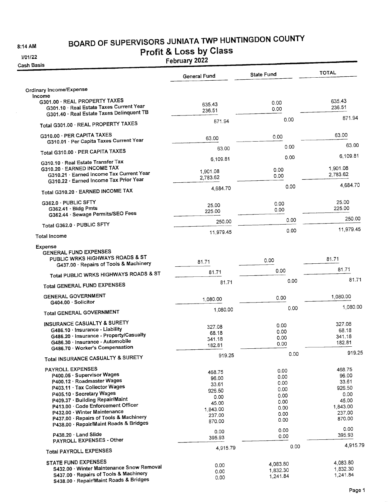8:14 AM

# BOARD OF SUPERVISORS JUNIATA TWP HUNTINGDON COUNTY

# 3/01/22

**Profit & Loss by Class**<br>February 2022

Cash

| sh Basis                                                                                                               | <b>LEDINGIA CALL</b> |                   |                  |
|------------------------------------------------------------------------------------------------------------------------|----------------------|-------------------|------------------|
|                                                                                                                        | General Fund         | <b>State Fund</b> | <b>TOTAL</b>     |
| Ordinary Income/Expense                                                                                                |                      |                   |                  |
| Income                                                                                                                 |                      |                   |                  |
| G301.00 · REAL PROPERTY TAXES<br>G301.10 · Real Estate Taxes Current Year<br>G301.40 · Real Estate Taxes Delinquent TB | 635.43<br>236.51     | 0.00<br>0.00      | 635.43<br>236.51 |
| Total G301.00 · REAL PROPERTY TAXES                                                                                    | 871.94               | 0.00              | 871.94           |
| G310.00 · PER CAPITA TAXES                                                                                             | 63.00                | 0.00              | 63.00            |
| G310.01 · Per Capita Taxes Current Year                                                                                | 63.00                | 0.00              | 63.00            |
| Total G310.00 · PER CAPITA TAXES<br>G310.10 · Real Estate Transfer Tax                                                 | 6,109.81             | 0.00              | 6,109.81         |
| G310.20 · EARNED INCOME TAX                                                                                            |                      |                   | 1,901.08         |
| G310.21 · Earned Income Tax Current Year                                                                               | 1,901.08             | 0.00              | 2,783.62         |
| G310.22 · Earned Income Tax Prior Year                                                                                 | 2,783.62             | 0.00<br>0.00      | 4,684.70         |
| Total G310.20 · EARNED INCOME TAX                                                                                      | 4,684.70             |                   |                  |
| G362.0 · PUBLIC SFTY                                                                                                   | 25.00                | 0.00              | 25.00            |
| G362.41 · Bidg Pmts                                                                                                    | 225.00               | 0.00              | 225.00           |
| G362.44 · Sewage Permits/SEO Fees                                                                                      | 250.00               | 0.00              | 250.00           |
| Total G362.0 · PUBLIC SFTY                                                                                             | 11,979.45            | 0.00              | 11,979.45        |
| <b>Total Income</b>                                                                                                    |                      |                   |                  |
| Expense<br><b>GENERAL FUND EXPENSES</b>                                                                                |                      |                   |                  |
| PUBLIC WRKS HIGHWAYS ROADS & ST<br>G437.00 · Repairs of Tools & Machinery                                              | 81.71                | 0.00              | 81.71            |
| Total PUBLIC WRKS HIGHWAYS ROADS & ST                                                                                  | 81.71                | 0.00              | 81.71            |
| <b>Total GENERAL FUND EXPENSES</b>                                                                                     | 81.71                | 0.00              | 81.71            |
| <b>GENERAL GOVERNMENT</b>                                                                                              | 1,080.00             | 0.00              | 1,080.00         |
| G404.00 · Solicitor<br><b>Total GENERAL GOVERNMENT</b>                                                                 | 1,080.00             | 0.00              | 1,080.00         |
| INSURANCE CASUALTY & SURETY                                                                                            |                      |                   |                  |
| G486.10 · Insurance - Liability                                                                                        | 327.08               | 0.00              | 327.08<br>68.18  |
| G486.20 · Insurance - Property/Casualty                                                                                | 68.18                | 0.00              | 341.18           |
| G486.30 · Insurance - Automobile                                                                                       | 341.18               | 0.00<br>0.00      | 182.81           |
| G486.70 · Worker's Compensation                                                                                        | 182.81               |                   |                  |
| Total INSURANCE CASUALTY & SURETY                                                                                      | 919.25               | 0.00              | 919.25           |
| PAYROLL EXPENSES                                                                                                       |                      | 0.00              | 468.75           |
| P400.05 · Supervisor Wages                                                                                             | 468.75               | 0.00              | 96.00            |
| P400.12 · Roadmaster Wages                                                                                             | 96.00                | 0.00              | 33.61            |
| P403.11 · Tax Collector Wages                                                                                          | 33.61<br>926.50      | 0.00              | 926.50           |
| P405.10 · Secretary Wages                                                                                              | 0.00                 | 0.00              | 0.00             |
| P409.37 · Building Repair/Maint                                                                                        | 45.00                | 0.00              | 45,00            |
| P413.00 · Code Enforcement Officer                                                                                     | 1,843.00             | 0.00              | 1,843.00         |
| P432.00 · Winter Maintenance                                                                                           | 237.00               | 0.00              | 237.00           |
| P437.00 · Repairs of Tools & Machinery<br>P438.00 · Repair/Maint Roads & Bridges                                       | 870.00               | 0.00              | 870.00           |
| P438.20 · Land Slide                                                                                                   | 0.00                 | 0.00<br>0.00      | 0.00<br>395.93   |
| PAYROLL EXPENSES - Other                                                                                               | 395.93               |                   |                  |
| <b>Total PAYROLL EXPENSES</b>                                                                                          | 4,915.79             | 0.00              | 4,915.79         |
| <b>STATE FUND EXPENSES</b>                                                                                             | 0.00                 | 4,083.80          | 4,083.80         |
| S432.00 · Winter Maintenance Snow Removal                                                                              | 0.00                 | 1,832.30          | 1,832.30         |
| S437.00 · Repairs of Tools & Machinery<br>S438.00 · Repair/Maint Roads & Bridges                                       | 0.00                 | 1,241.84          | 1,241.84         |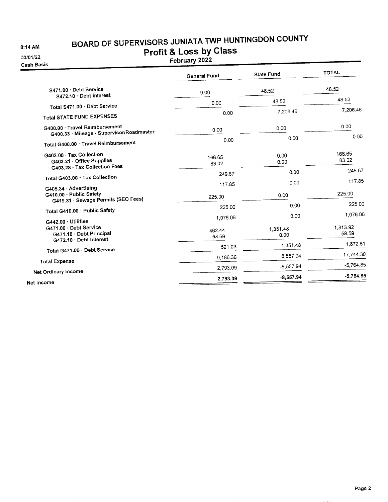8:14 AM

# BOARD OF SUPERVISORS JUNIATA TWP HUNTINGDON COUNTY

33/01/22 Cash B

| BOARD OF SUPERVISORS SOMMITY<br>AM<br><b>Profit &amp; Loss by Class</b><br>1/22<br>February 2022<br>Basis ו |                     |                   |                   |  |
|-------------------------------------------------------------------------------------------------------------|---------------------|-------------------|-------------------|--|
|                                                                                                             | <b>General Fund</b> | <b>State Fund</b> | <b>TOTAL</b>      |  |
| S471.00 · Debt Service<br>S472.10 Debt Interest                                                             | 0.00                | 48.52             | 48.52             |  |
| Total S471.00 · Debt Service                                                                                | 0.00                | 48.52             | 48.52             |  |
| <b>Total STATE FUND EXPENSES</b>                                                                            | 0.00                | 7,206.46          | 7,206.46          |  |
| G400.00 · Travel Reimbursement<br>G400.33 · Mileage - Supervisor/Roadmaster                                 | 0.00                | 0.00              | 0.00              |  |
| Total G400.00 · Travel Reimbursement                                                                        | 0.00                | 0.00              | 0.00              |  |
| G403.00 · Tax Collection<br>G403.21 · Office Supplies                                                       | 166.65<br>83.02     | 0.00<br>0.00      | 166.65<br>83.02   |  |
| G403.28 · Tax Collection Fees                                                                               | 249.67              | 0.00              | 249.67            |  |
| Total G403.00 · Tax Collection                                                                              | 117.85              | 0.00              | 117.85            |  |
| G405.34 Advertising<br>G410.00 · Public Safety<br>G419.31 · Sewage Permits (SEO Fees)                       | 225.00              | 0.00              | 225.00            |  |
|                                                                                                             | 225.00              | 0.00              | 225.00            |  |
| Total G410.00 · Public Safety<br>G442.00 · Utilities                                                        | 1,076.06            | 0.00              | 1,076.06          |  |
| G471.00 · Debt Service<br>G471.10 · Debt Principal                                                          | 462.44<br>58.59     | 1,351.48<br>0.00  | 1.813.92<br>58.59 |  |
| G472.10 · Debt Interest                                                                                     | 521.03              | 1,351.48          | 1.872.51          |  |
| Total G471.00 · Debt Service                                                                                | 9,186.36            | 8,557.94          | 17.744.30         |  |
| <b>Total Expense</b>                                                                                        | 2.793.09            | $-8,557.94$       | $-5,764.85$       |  |
| Net Ordinary Income                                                                                         |                     | $-8,557.94$       | $-5,764.85$       |  |
| $\ddot{\bullet}$ lacers $\ddot{\bullet}$                                                                    | 2,793.09            |                   |                   |  |

Net Income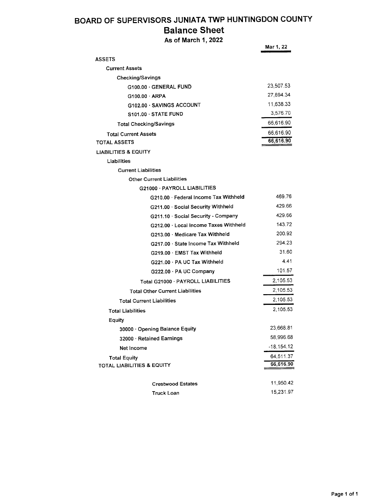### BOARD OF SUPERVISORS JUNIATA TWP HUNTINGDON COUNTY Balance Sheet

| As of March 1, 2022                    |              |  |
|----------------------------------------|--------------|--|
|                                        | Mar 1, 22    |  |
| <b>ASSETS</b>                          |              |  |
| <b>Current Assets</b>                  |              |  |
| <b>Checking/Savings</b>                |              |  |
| G100.00 · GENERAL FUND                 | 23,507.53    |  |
| $G100.00 \cdot ARPA$                   | 27,894.34    |  |
| G102.00 · SAVINGS ACCOUNT              | 11,638.33    |  |
| S101.00 STATE FUND                     | 3,576.70     |  |
| Total Checking/Savings                 | 66,616.90    |  |
| <b>Total Current Assets</b>            | 66,616.90    |  |
| TOTAL ASSETS                           | 66,616.90    |  |
| LIABILITIES & EQUITY                   |              |  |
| Liabilities                            |              |  |
| <b>Current Liabilities</b>             |              |  |
| <b>Other Current Liabilities</b>       |              |  |
| G21000 · PAYROLL LIABILITIES           |              |  |
| G210.00 · Federal Income Tax Withheld  | 469.76       |  |
| G211.00 Social Security Withheld       | 429.66       |  |
| G211.10 · Social Security - Company    | 429.66       |  |
| G212.00 · Local Income Taxes Withheld  | 143.72       |  |
| G213.00 · Medicare Tax Withheld        | 200.92       |  |
| G217.00 · State Income Tax Withheld    | 294.23       |  |
| G219.00 · EMST Tax Withheld            | 31.60        |  |
| G221.00 · PA UC Tax Withheld           | 4.41         |  |
| G222.00 · PA UC Company                | 101.57       |  |
| Total G21000 · PAYROLL LIABILITIES     | 2,105.53     |  |
| <b>Total Other Current Liabilities</b> | 2,105.53     |  |
| <b>Total Current Liabilities</b>       | 2,105.53     |  |
| <b>Total Liabilities</b>               | 2,105.53     |  |
| Equity                                 |              |  |
| 30000 · Opening Balance Equity         | 23,668.81    |  |
| 32000 · Retained Earnings              | 58,996.68    |  |
| Net Income                             | $-18,154.12$ |  |
| <b>Total Equity</b>                    | 64,511.37    |  |
| TOTAL LIABILITIES & EQUITY             | 66,616.90    |  |
| <b>Crestwood Estates</b>               | 11,950.42    |  |
| Truck Loan                             | 15,231.97    |  |
|                                        |              |  |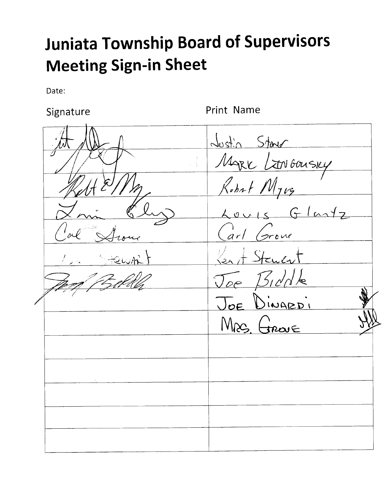# **Juniata Township Board of Supervisors Meeting Sign-in Sheet**

Date:

Signature

Print Name

Justin Stare MARK LENGOUSKY Robert Myrg Louis Glastz arl Grove oI  $\tilde{\mathcal{C}}$  $S$ truen  $1510$ N/c  $\mathcal{T}_{\mathcal{O} \mathcal{C}}$ JOE DINARDI  $MRS$  freque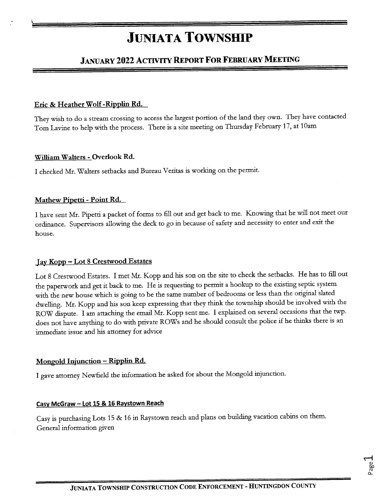# **JUNIATA TOWNSHIP**

# JANUARY 2022 ACTIVITY REPORT FOR FEBRUARY MEETING

### Eric & Heather Wolf-Ripplin Rd.

i

They wish to do a stream crossing to access the largest portion of the land they own. They have contacted Tom Lavine to help with the process. There is a site meeting on Thursday February 17, at 10am

### William Walters - Overlook Rd.

I checked Mr. Walters setbacks and Bureau Veritas is working on the permit.

### Mathew Pipetti - Point Rd.

I have sent Mr. Pipetti a packet of forms to fill out and get back to me. Knowing that he will not meet our ordinance. Supervisors allowing the deck to go in because of safety and necessity to enter and exit the house.

### Jay Kopp - Lot 8 Crestwood Estates

Lot 8 Crestwood Estates. I met Mr. Kopp and his son on the site to check the setbacks. He has to fill out the paperwork and get it back to me. He is requesting to permit a hookup to the existing septic system with the new house which is going to be the same number of bedrooms or less than the original slated dwelling. Mr. Kopp and his son keep expressing that they think the township should be involved with the ROW dispute. I am attaching the email Mr. Kopp sent me. I explained on several occasions that the twp. does not have anything to do with private ROWs and he should consult the police if he thinks there is an immediate issue and his attorney for advice

### Mongold Injunction – Ripplin Rd.

I gave attorney Newfield the information he asked for about the Mongold injunction.

### Casv McGraw - Lot 15 & 15 Ravstown Reach

Casy is purchasing Lots 15 & 16 in Raystown reach and plans on building vacation cabins on them. Genetal information given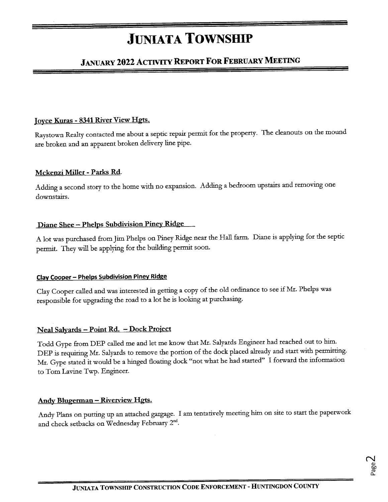# **JUNIATA TOWNSHIP**

# JANUARY 2022 ACTIVITY REPORT FOR FEBRUARY MEETING

### Joyce Kuras - 8341 River View Hgts.

Raystown Realty contacted me about a septic repair permit for the property. The cleanouts on the mound are broken and an apparent broken delivery line pipe.

### Mckenzi Miller - Parks Rd.

Adding a second story to the home with no expansion. Adding a bedroom upstairs and removing one downstairs.

### Diane Shee - Phelps Subdivision Piney Ridge

A lot was purchased from Jim Phelps on Piney Ridge near the Hall farm. Diane is applying for the septic permit. They will be applying for the building permit soon.

### Clay Cooper - Phelps Subdivision Piney Ridge

Clay Cooper called and was interested in getting a copy of the old ordinance to see if Mr. Phelps was tesponsible fot upgrading the road to a lot he is looking at puchasing.

### Neal Salyards - Point Rd. - Dock Project

Todd Gype ftom DEP called me and let me know that Mr. Salyatds Engineet had teached out to him. DEP is requiring Mr. Salyards to remove the portion of the dock placed already and start with permitting. Mr. Gype stated it would be a hinged floating dock "not what he had started" I forward the information to Tom Lavine Twp. Engineer.

### Andy Blugerman – Riverview Hgts.

Andy Plans on putting up an attached gargage. I am tentatively meeting him on site to start the paperwork and check setbacks on Wednesday February 2<sup>nd</sup>.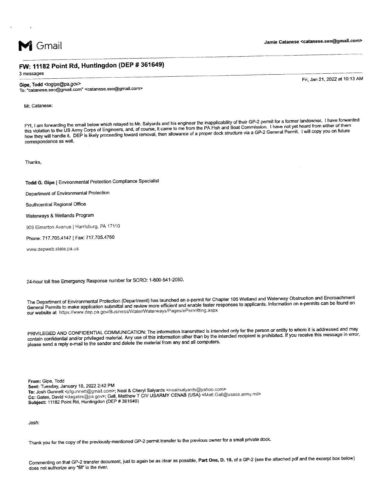

### FW: 11182 Point Rd, Huntingdon (DEP # 361649)

3 messages

### Gipe, Todd <togipe@pa.gov>

To: "catanese.seo@gmail.com" <catanese.seo@gmail.com>

Mr. Catanese:

FYI, I am forwarding the email below which relayed to Mr. Salyards and his engineer the inapplicability of their GP-2 permit for a former landowner. I have forwarded EXT, I am lowarding the chian below milember years of course, it came to me from the PA Fish and Boat Commission. Thave not yet heard from either of their<br>this violation to the US Army Corps of Engineers, and, of course, i to , not the commission of them the US Army Corps of Engineers, and, of course, it came to me from the PA Fish and Boat Commission. I have not yet heard from either of them correspondence as well.

Thanks,

Todd G. Gipe | Environmental Protection Compliance Specialist

Department of Environmental Protection

Southcentral Regional Office

Waterways & Wetlands Program

909 Elmerton Avenue | Harrisburg, PA 17110

Phone: 717.705.4147 | Fax: 717.705.4760

www.depweb.state.Pa.us

24-hour toll free Emergency Response number for SCRO: 1-800-541-2050.

The Department of Environmental Protection (Department) has launched an e-permit for Chapter 105 Wetland and Waterway Obstruction and Encroachment General permits to make application submiftal ano review more efficient and enaote rastei reiponses to applicants' lnformation on e-permits can be found on our website at https://www.dep.pa.gov/Business/Water/Waterways/Pages/ePermitting.aspx

PRIVILEGED AND CONFIDENTIAL COMMUNICATION: The information transmitted is intended only for the person or entity to whom it is addressed and may contain confidential and/or privileged material. Any use of this information other than by the intended recipient is prohibited. If you receive this message in error, please send a reply e-mail to the sender and delete the material from any and all computers.

From: Gipe, Todd Sent: Tuesday, January 18, 2022 2:42 PM To: Josh Gunnett <jdgunnett@gmail.com>; Neal & Cheryl Salyards <nealrsalyards@yahoo.com> Cc: Gates, David <dagates@pa.gov>; Gall, Matthew T CIV USARMY CENAB (USA) <Matt.Gall@usace.army.mil> Subject: 11182 Point Rd, Huntingdon (DEP # 361649)

Josh:

Thank you for the copy of the previously-mentioned GP-2 permit transfer to the previous owner for a small private dock'

commenting on that Gp-z transfer document, just to again be as clear as possible, Part One, D. 19. of a GP-2 (see the attached pdf and the excerpt box below) does not authorize any "fill" in the river.

Fri, Jan 21, 2O22 at 10:13 AM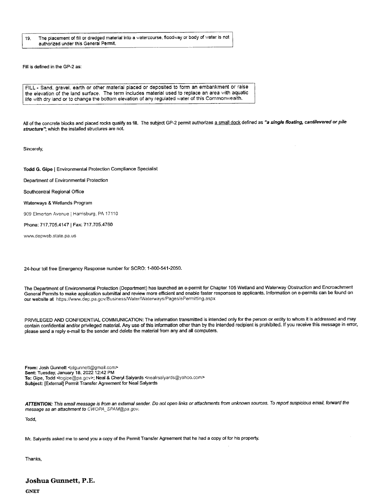19. The placement of fill or dredged material into a watercourse, fioodway or body of water is not authorized under this General Permit.

Fill is defined in the GP-2 as:

FILL - Sand, gravel, earth or other material placed or deposited to form an embankment or raise the elevation of the land surface. The term includes material used to replace an area with aquatic life with dry land or to change the bottom elevation of any regulated water of this Commonwealth.

All of the concrete blocks and placed rocks qualify as fill. The subject GP-2 permit authorizes a small dock defined as "a single floating, cantilevered or pile structure", which the installed structures are not.

Sincerely,

Todd G. Gipe | Environmental Protection Compliance Specialist

Department of Environmental Protection

Southcentral Regional Office

Waterways & Wetlands Program

909 Elmerton Avenue | Harrisburg, PA 17110

Phone: 717.705.4147 | Fax: 717.705.4760

www.depweb.state.pa.us

24-hour toll free Emergency Response number for SCRO: 1-800-541-2050.

The Department of Environmental Protection (Department) has launched an e-permit for Chapter 105 Wetland and Waterway Obstruction and Encroachment Generai Permits lo make application submitiai and review more eficient and enable faster responses to applicants. lnformation on e'permits can be found on our website at https://www.dep.pa.gov/Business/Water/Waterways/Pages/ePermitting.aspx

PRIVILEGED AND CONFIDENTIAL COMMUNICATION: The information transmitted is intended only for the person or entity to whom it is addressed and may contain confidential and/or privileged material. Any use of this information other than by the intended recipient is prohibited. lf you receive this message in enor, please send a reply e-mail to the sender and delete the material from any and all computers.

From: Josh Gunnett <jdgunnett@gmail.com> Sent: Tuesday, January 18, 2022 12:42 PM To: Gipe, Todd <togipe@pa.gov>; Neal & Cheryl Salyards <nealrsalyards@yahoo.com> Subject: [External] Permit Transfer Agreement for Neal Salyards

ATTENTION: This email message is from an external sender. Do not open links or attachments from unknown sources. To report suspicious email, forward the message as an attachment to CWOPA\_SPAM@pa.gov.

Todd,

Mr. Salyards asked me to send you a copy of the Permit Transfer Agreement that he had a copy of for his property.

Thanks,

### Joshua Gunnett, P.E.

**GNET**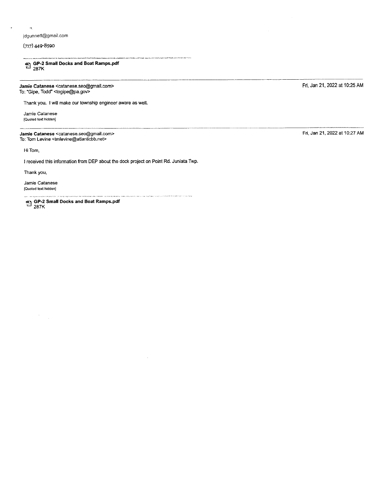### jdguonett@gmail.com

### (717) 449-8590

 $\overline{\mathbf{r}}$ 

 $\overline{\boxtimes}$  GP-2 Small Docks and Boat Ramps.pdf<br> $^{287K}$ 

Jamie Catanese <catanese.seo@gmail.com> To: "Gipe, Todd" <togipe@pa.gor>

Thank you. lwill make our township engineer aware as well.

Jamie Catanese lQuoted text hidden]

Jamie Catanese <catanese,seo@gmail.com> To: Tom Levine <tmlevine@atlanticbb.nef>

Hi Tom,

I received this information from DEP about the dock project on Point Rd. Juniata Twp.

.<br>Физич простави, узительні физичен тичество пробліжні на паленім трас

Thank you,

Jamie Catanese lQuoied text hidden]

> $\epsilon$  $\mathcal{A}$

-1 GP-z Small Docks and Boat Ramps.pdf - 2a7K

Fri, Jan 21, 2022 at 10:25 AM

Fri, Jan 21, 2022 at 10:27 AM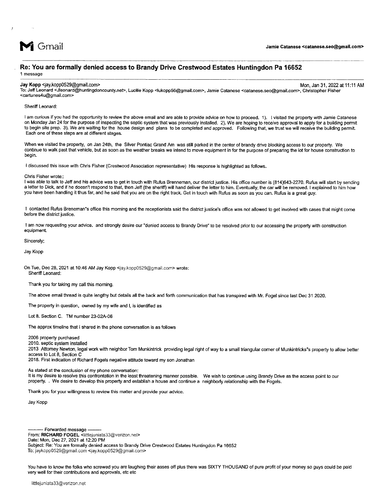

#### Re: You are formally denied access to Brandy Drive Crestwood Estates Huntingdon Pa 16652 1 message

Jay Kopp <jay.kopp0529@gmail.com> Mon, Jan 31,2022at 11:11 AM

To: Jeff Leonard <Jleonard@huntingdoncounty,nef>, Lucille Kopp <lukopp56@gmail.com>, Jamie Catanese <catanese.seo@gmail,com>, Christopher Fisher <cartunes4u@gmail.com>

Sheriff Leonard:

I am curious if you had the opportunity to review the above email and are able to provide advice on how to proceed. 1). I visited the property with Jamie Catanese on Monday Jan 24 for the purpose of inspecting the septic system that was previously installed. 2). We are hoping to receive approval to apply for a building permit to begin site prep. 3). We are waiting for the house design and plans to be completed and approved. Following that, we trust we will receive the building permit. Each one of these steps are at difierent stages.

When we visited the property, on Jan 241h, the Silver Pontiac Grand Am was still parked in the center of brandy drive blocking access to our property. We continue to walk past that vehicle, but as soon as the weather breaks we intend to move equipment in for the purpose of preparing the lot for house construction to begin.

I discussed this issue with Chris Fisher (Crestwood Association representative) His response is highlighted as follows.

Chris Fisher wrote::

I was able to talk to Jeff and his advice was to get in touch with Rufus Brenneman, our district justice. His office number is (814)643-2270. Rufus will start by sending a letter to Dick, and if he doesn't respond to that, then Jeff (the sheriff) will hand deliver the letter to him. Eventually, the car will be removed. I explained to him how you have been handling it thus far, and he said that you are on the right track. Get in touch with Rufus as soon as you can. Rufus is a great guy.

I contacted Rufus Breneman"s office this moming and the receptionists said the district justice's office was not altowed to get involved with cases that might come before the district justice.

I am now requesting your advice. and strongly desire our "denied access to Brandy Drive" to be resolved prior to our accessing the property with construction equipment

Sincerely;

Jay Kopp

On Tue, Dec 28,2021 at 10:46 AM Jay Kopp <jay.kopp0529@gmail.com> wrote: Sherifi Leonard:

Thank you for taking my call this morning.

The above email thread is quite lengthy but details all the back and forth communication that has transpired with Mr. Fogel since last Dec 31 2020.

The property in question, owned by my wife and l, is identifled as

Lot 8. Section C. TM number 23-02A-06

The approx timeline that I shared in the phone conversation is as follows

#### 2006 property purchased

2010. septic system installed

2013 Attomey Newton, Iegal work with neighborTom Munkintrick providing legal right of way to a small triangular comer of Munkintricks's property to allow better access to Lot 8, Section C

2018. First indication of Richard Fogels negative attitude toward my son Jonathan

As stated at the conclusion of my phone conversation:

It is my desire to resolve this confrontation in the least threatening manner possible. We wish to continue using Brandy Drive as the access point to our property. . We desire to develop this property and establish a house and continue a neighborly relationship with the Fogels.

Thank you for your willingness to review this matter and provide your advice.

Jay Kopp

Date: Mon, Dec 27, 2021 at 12:20 PM<br>Subject: Re: You are formally denied access to Brandy Drive Crestwood Estates Huntingdon Pa 16652 Forwarded message Date: Mon, Dec 27, 2021 at 12:20 PM From: RICHARD FOGEL <littlejuniata33@verizon.net> To: jaykopp0529@gmail.com <jay.kopp0529@gmail.com>

You have to know the folks who screwed you are laughing their asses off plus there was SIXTY THOUSAND of pure profit of your money so guys could be paid very well for their contributions and approvals, etc etc